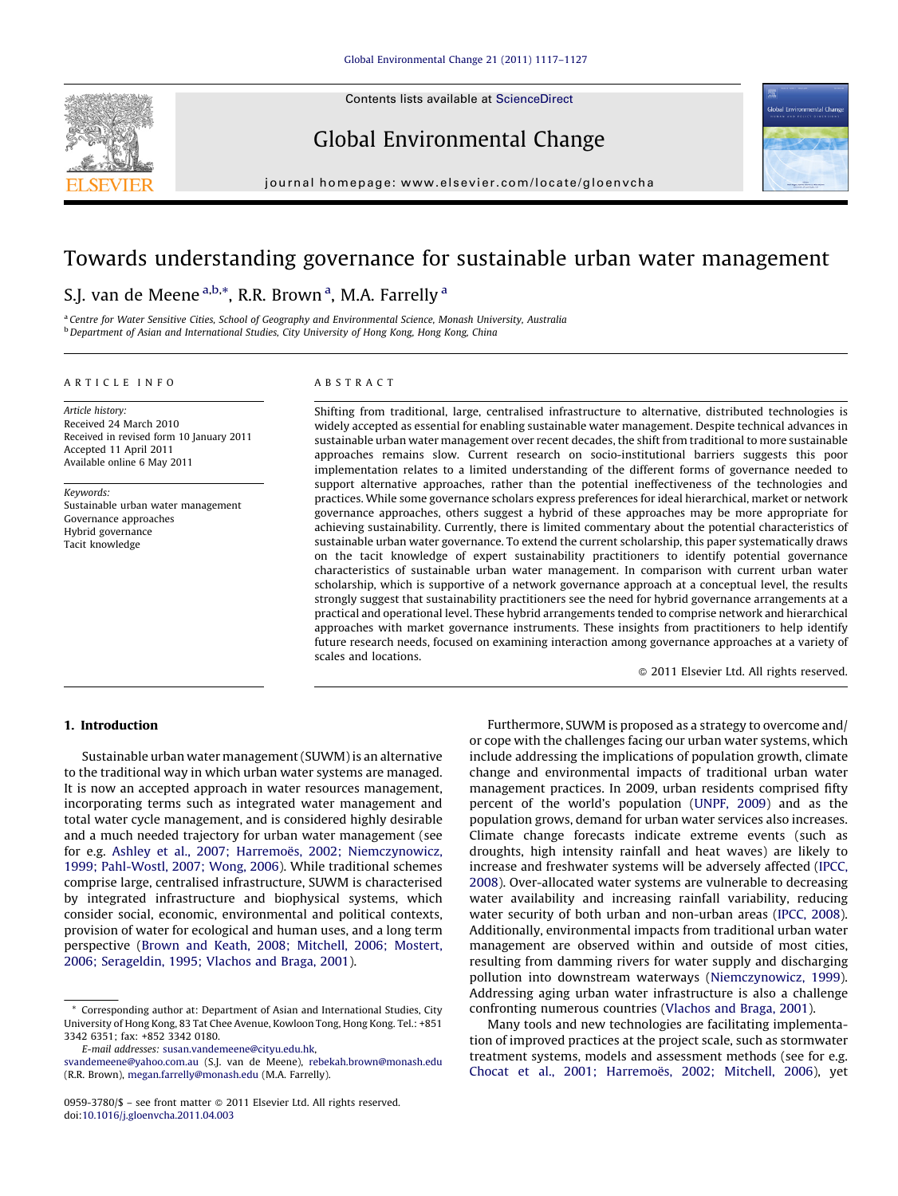

Contents lists available at [ScienceDirect](http://www.sciencedirect.com/science/journal/09593780)

## Global Environmental Change



journal homepage: www.elsevier.com/locate/gloenvcha

# Towards understanding governance for sustainable urban water management

## S.J. van de Meene <sup>a,b,</sup>\*, R.R. Brown <sup>a</sup>, M.A. Farrelly <sup>a</sup>

<sup>a</sup> Centre for Water Sensitive Cities, School of Geography and Environmental Science, Monash University, Australia **b** Department of Asian and International Studies, City University of Hong Kong, Hong Kong, China

#### A R T I C L E I N F O

Article history: Received 24 March 2010 Received in revised form 10 January 2011 Accepted 11 April 2011 Available online 6 May 2011

Keywords: Sustainable urban water management Governance approaches Hybrid governance Tacit knowledge

#### A B S T R A C T

Shifting from traditional, large, centralised infrastructure to alternative, distributed technologies is widely accepted as essential for enabling sustainable water management. Despite technical advances in sustainable urban water management over recent decades, the shift from traditional to more sustainable approaches remains slow. Current research on socio-institutional barriers suggests this poor implementation relates to a limited understanding of the different forms of governance needed to support alternative approaches, rather than the potential ineffectiveness of the technologies and practices. While some governance scholars express preferences for ideal hierarchical, market or network governance approaches, others suggest a hybrid of these approaches may be more appropriate for achieving sustainability. Currently, there is limited commentary about the potential characteristics of sustainable urban water governance. To extend the current scholarship, this paper systematically draws on the tacit knowledge of expert sustainability practitioners to identify potential governance characteristics of sustainable urban water management. In comparison with current urban water scholarship, which is supportive of a network governance approach at a conceptual level, the results strongly suggest that sustainability practitioners see the need for hybrid governance arrangements at a practical and operational level. These hybrid arrangements tended to comprise network and hierarchical approaches with market governance instruments. These insights from practitioners to help identify future research needs, focused on examining interaction among governance approaches at a variety of scales and locations.

- 2011 Elsevier Ltd. All rights reserved.

## 1. Introduction

Sustainable urban water management(SUWM) is an alternative to the traditional way in which urban water systems are managed. It is now an accepted approach in water resources management, incorporating terms such as integrated water management and total water cycle management, and is considered highly desirable and a much needed trajectory for urban water management (see for e.g. Ashley et al., 2007; Harremoës, 2002; [Niemczynowicz,](#page-9-0) 1999; [Pahl-Wostl,](#page-9-0) 2007; Wong, 2006). While traditional schemes comprise large, centralised infrastructure, SUWM is characterised by integrated infrastructure and biophysical systems, which consider social, economic, environmental and political contexts, provision of water for ecological and human uses, and a long term perspective (Brown and Keath, 2008; [Mitchell,](#page-9-0) 2006; Mostert, 2006; [Serageldin,](#page-9-0) 1995; Vlachos and Braga, 2001).

E-mail addresses: [susan.vandemeene@cityu.edu.hk,](mailto:susan.vandemeene@cityu.edu.hk)

Furthermore, SUWM is proposed as a strategy to overcome and/ or cope with the challenges facing our urban water systems, which include addressing the implications of population growth, climate change and environmental impacts of traditional urban water management practices. In 2009, urban residents comprised fifty percent of the world's population ([UNPF,](#page-10-0) 2009) and as the population grows, demand for urban water services also increases. Climate change forecasts indicate extreme events (such as droughts, high intensity rainfall and heat waves) are likely to increase and freshwater systems will be adversely affected [\(IPCC,](#page-9-0) [2008\)](#page-9-0). Over-allocated water systems are vulnerable to decreasing water availability and increasing rainfall variability, reducing water security of both urban and non-urban areas (IPCC, [2008\)](#page-9-0). Additionally, environmental impacts from traditional urban water management are observed within and outside of most cities, resulting from damming rivers for water supply and discharging pollution into downstream waterways ([Niemczynowicz,](#page-9-0) 1999). Addressing aging urban water infrastructure is also a challenge confronting numerous countries ([Vlachos](#page-10-0) and Braga, 2001).

Many tools and new technologies are facilitating implementation of improved practices at the project scale, such as stormwater treatment systems, models and assessment methods (see for e.g. Chocat et al., 2001; Harremoës, 2002; Mitchell, 2006), yet

Corresponding author at: Department of Asian and International Studies, City University of Hong Kong, 83 Tat Chee Avenue, Kowloon Tong, Hong Kong. Tel.: +851 3342 6351; fax: +852 3342 0180.

[svandemeene@yahoo.com.au](mailto:svandemeene@yahoo.com.au) (S.J. van de Meene), [rebekah.brown@monash.edu](mailto:rebekah.brown@monash.edu) (R.R. Brown), [megan.farrelly@monash.edu](mailto:megan.farrelly@monash.edu) (M.A. Farrelly).

<sup>0959-3780/\$ –</sup> see front matter © 2011 Elsevier Ltd. All rights reserved. doi:[10.1016/j.gloenvcha.2011.04.003](http://dx.doi.org/10.1016/j.gloenvcha.2011.04.003)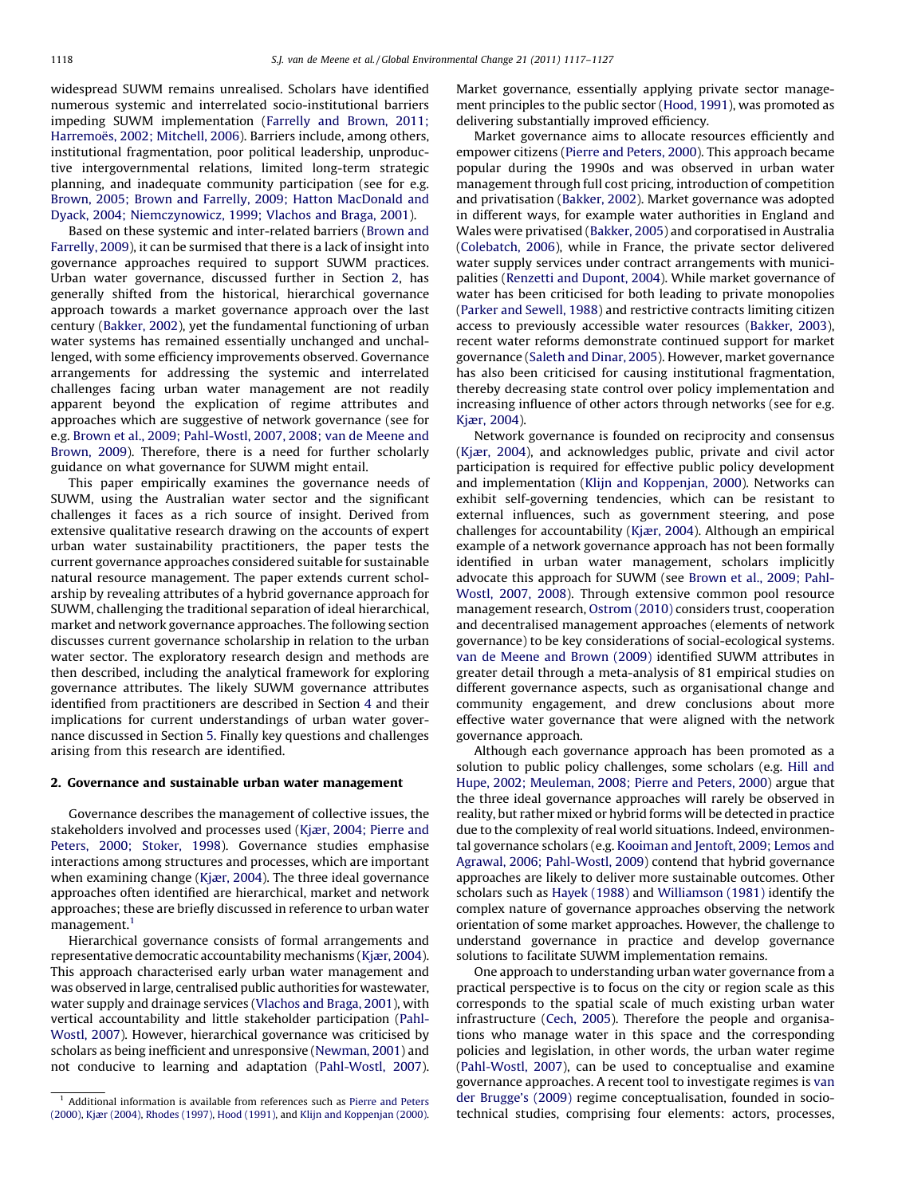<span id="page-1-0"></span>widespread SUWM remains unrealised. Scholars have identified numerous systemic and interrelated socio-institutional barriers impeding SUWM implementation ([Farrelly](#page-9-0) and Brown, 2011; Harremoës, 2002; Mitchell, 2006). Barriers include, among others, institutional fragmentation, poor political leadership, unproductive intergovernmental relations, limited long-term strategic planning, and inadequate community participation (see for e.g. Brown, 2005; Brown and Farrelly, 2009; Hatton [MacDonald](#page-9-0) and Dyack, 2004; [Niemczynowicz,](#page-9-0) 1999; Vlachos and Braga, 2001).

Based on these systemic and inter-related barriers [\(Brown](#page-9-0) and [Farrelly,](#page-9-0) 2009), it can be surmised that there is a lack of insight into governance approaches required to support SUWM practices. Urban water governance, discussed further in Section 2, has generally shifted from the historical, hierarchical governance approach towards a market governance approach over the last century ([Bakker,](#page-9-0) 2002), yet the fundamental functioning of urban water systems has remained essentially unchanged and unchallenged, with some efficiency improvements observed. Governance arrangements for addressing the systemic and interrelated challenges facing urban water management are not readily apparent beyond the explication of regime attributes and approaches which are suggestive of network governance (see for e.g. Brown et al., 2009; [Pahl-Wostl,](#page-9-0) 2007, 2008; van de Meene and [Brown,](#page-9-0) 2009). Therefore, there is a need for further scholarly guidance on what governance for SUWM might entail.

This paper empirically examines the governance needs of SUWM, using the Australian water sector and the significant challenges it faces as a rich source of insight. Derived from extensive qualitative research drawing on the accounts of expert urban water sustainability practitioners, the paper tests the current governance approaches considered suitable for sustainable natural resource management. The paper extends current scholarship by revealing attributes of a hybrid governance approach for SUWM, challenging the traditional separation of ideal hierarchical, market and network governance approaches. The following section discusses current governance scholarship in relation to the urban water sector. The exploratory research design and methods are then described, including the analytical framework for exploring governance attributes. The likely SUWM governance attributes identified from practitioners are described in Section [4](#page-3-0) and their implications for current understandings of urban water governance discussed in Section [5.](#page-7-0) Finally key questions and challenges arising from this research are identified.

#### 2. Governance and sustainable urban water management

Governance describes the management of collective issues, the stakeholders involved and processes used (Kjær, 2004; [Pierre](#page-9-0) and Peters, 2000; [Stoker,](#page-9-0) 1998). Governance studies emphasise interactions among structures and processes, which are important when examining change ([Kjær,](#page-9-0) 2004). The three ideal governance approaches often identified are hierarchical, market and network approaches; these are briefly discussed in reference to urban water management.<sup>1</sup>

Hierarchical governance consists of formal arrangements and representative democratic accountability mechanisms [\(Kjær,](#page-9-0) 2004). This approach characterised early urban water management and was observed in large, centralised public authorities for wastewater, water supply and drainage services ([Vlachos](#page-10-0) and Braga, 2001), with vertical accountability and little stakeholder participation [\(Pahl-](#page-9-0)[Wostl,](#page-9-0) 2007). However, hierarchical governance was criticised by scholars as being inefficient and unresponsive [\(Newman,](#page-9-0) 2001) and not conducive to learning and adaptation [\(Pahl-Wostl,](#page-9-0) 2007). Market governance, essentially applying private sector management principles to the public sector [\(Hood,](#page-9-0) 1991), was promoted as delivering substantially improved efficiency.

Market governance aims to allocate resources efficiently and empower citizens (Pierre and [Peters,](#page-9-0) 2000). This approach became popular during the 1990s and was observed in urban water management through full cost pricing, introduction of competition and privatisation ([Bakker,](#page-9-0) 2002). Market governance was adopted in different ways, for example water authorities in England and Wales were privatised [\(Bakker,](#page-9-0) 2005) and corporatised in Australia ([Colebatch,](#page-9-0) 2006), while in France, the private sector delivered water supply services under contract arrangements with municipalities ([Renzetti](#page-9-0) and Dupont, 2004). While market governance of water has been criticised for both leading to private monopolies (Parker and [Sewell,](#page-9-0) 1988) and restrictive contracts limiting citizen access to previously accessible water resources ([Bakker,](#page-9-0) 2003), recent water reforms demonstrate continued support for market governance [\(Saleth](#page-9-0) and Dinar, 2005). However, market governance has also been criticised for causing institutional fragmentation, thereby decreasing state control over policy implementation and increasing influence of other actors through networks (see for e.g. [Kjær,](#page-9-0) 2004).

Network governance is founded on reciprocity and consensus ([Kjær,](#page-9-0) 2004), and acknowledges public, private and civil actor participation is required for effective public policy development and implementation (Klijn and [Koppenjan,](#page-9-0) 2000). Networks can exhibit self-governing tendencies, which can be resistant to external influences, such as government steering, and pose challenges for accountability ([Kjær,](#page-9-0) 2004). Although an empirical example of a network governance approach has not been formally identified in urban water management, scholars implicitly advocate this approach for SUWM (see [Brown](#page-9-0) et al., 2009; Pahl-[Wostl,](#page-9-0) 2007, 2008). Through extensive common pool resource management research, [Ostrom](#page-9-0) (2010) considers trust, cooperation and decentralised management approaches (elements of network governance) to be key considerations of social-ecological systems. van de [Meene](#page-10-0) and Brown (2009) identified SUWM attributes in greater detail through a meta-analysis of 81 empirical studies on different governance aspects, such as organisational change and community engagement, and drew conclusions about more effective water governance that were aligned with the network governance approach.

Although each governance approach has been promoted as a solution to public policy challenges, some scholars (e.g. Hill [and](#page-9-0) Hupe, 2002; [Meuleman,](#page-9-0) 2008; Pierre and Peters, 2000) argue that the three ideal governance approaches will rarely be observed in reality, but rather mixed or hybrid forms will be detected in practice due to the complexity of real world situations. Indeed, environmental governance scholars (e.g. [Kooiman](#page-9-0) and Jentoft, 2009; Lemos and Agrawal, 2006; [Pahl-Wostl,](#page-9-0) 2009) contend that hybrid governance approaches are likely to deliver more sustainable outcomes. Other scholars such as Hayek [\(1988\)](#page-9-0) and [Williamson](#page-10-0) (1981) identify the complex nature of governance approaches observing the network orientation of some market approaches. However, the challenge to understand governance in practice and develop governance solutions to facilitate SUWM implementation remains.

One approach to understanding urban water governance from a practical perspective is to focus on the city or region scale as this corresponds to the spatial scale of much existing urban water infrastructure [\(Cech,](#page-9-0) 2005). Therefore the people and organisations who manage water in this space and the corresponding policies and legislation, in other words, the urban water regime ([Pahl-Wostl,](#page-9-0) 2007), can be used to conceptualise and examine governance approaches. A recent tool to investigate regimes is [van](#page-10-0) der [Brugge's](#page-10-0) (2009) regime conceptualisation, founded in sociotechnical studies, comprising four elements: actors, processes,

 $1$  Additional information is available from references such as Pierre and [Peters](#page-9-0) [\(2000\),](#page-9-0) Kjær [\(2004\)](#page-9-0), [Rhodes](#page-9-0) (1997), Hood [\(1991\),](#page-9-0) and Klijn and [Koppenjan](#page-9-0) (2000).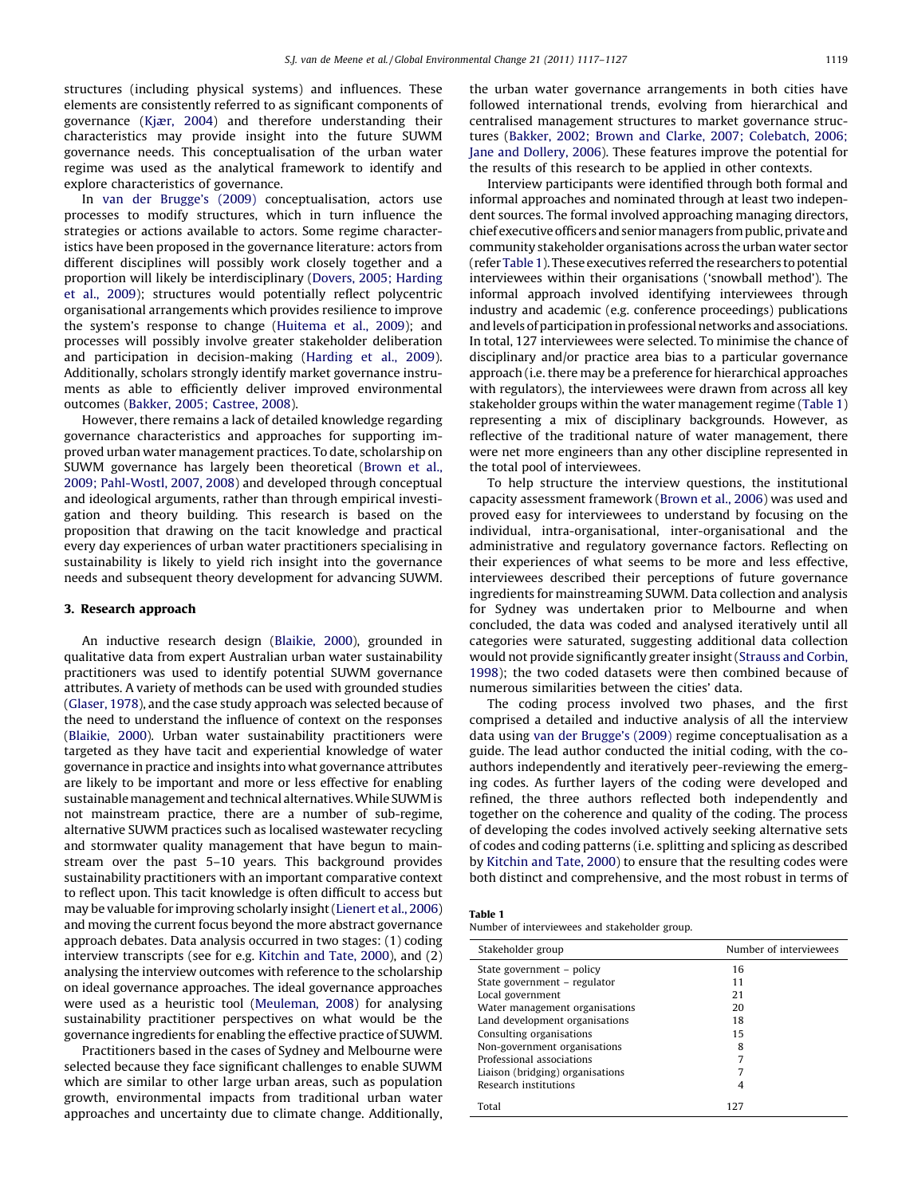structures (including physical systems) and influences. These elements are consistently referred to as significant components of governance ([Kjær,](#page-9-0) 2004) and therefore understanding their characteristics may provide insight into the future SUWM governance needs. This conceptualisation of the urban water regime was used as the analytical framework to identify and explore characteristics of governance.

In van der [Brugge's](#page-10-0) (2009) conceptualisation, actors use processes to modify structures, which in turn influence the strategies or actions available to actors. Some regime characteristics have been proposed in the governance literature: actors from different disciplines will possibly work closely together and a proportion will likely be interdisciplinary (Dovers, 2005; [Harding](#page-9-0) et al., [2009](#page-9-0)); structures would potentially reflect polycentric organisational arrangements which provides resilience to improve the system's response to change ([Huitema](#page-9-0) et al., 2009); and processes will possibly involve greater stakeholder deliberation and participation in decision-making [\(Harding](#page-9-0) et al., 2009). Additionally, scholars strongly identify market governance instruments as able to efficiently deliver improved environmental outcomes (Bakker, 2005; [Castree,](#page-9-0) 2008).

However, there remains a lack of detailed knowledge regarding governance characteristics and approaches for supporting improved urban water management practices. To date, scholarship on SUWM governance has largely been theoretical [\(Brown](#page-9-0) et al., 2009; [Pahl-Wostl,](#page-9-0) 2007, 2008) and developed through conceptual and ideological arguments, rather than through empirical investigation and theory building. This research is based on the proposition that drawing on the tacit knowledge and practical every day experiences of urban water practitioners specialising in sustainability is likely to yield rich insight into the governance needs and subsequent theory development for advancing SUWM.

## 3. Research approach

An inductive research design [\(Blaikie,](#page-9-0) 2000), grounded in qualitative data from expert Australian urban water sustainability practitioners was used to identify potential SUWM governance attributes. A variety of methods can be used with grounded studies ([Glaser,](#page-9-0) 1978), and the case study approach was selected because of the need to understand the influence of context on the responses ([Blaikie,](#page-9-0) 2000). Urban water sustainability practitioners were targeted as they have tacit and experiential knowledge of water governance in practice and insights into what governance attributes are likely to be important and more or less effective for enabling sustainable management and technical alternatives. While SUWM is not mainstream practice, there are a number of sub-regime, alternative SUWM practices such as localised wastewater recycling and stormwater quality management that have begun to mainstream over the past 5–10 years. This background provides sustainability practitioners with an important comparative context to reflect upon. This tacit knowledge is often difficult to access but may be valuable for improving scholarly insight[\(Lienert](#page-9-0) et al., 2006) and moving the current focus beyond the more abstract governance approach debates. Data analysis occurred in two stages: (1) coding interview transcripts (see for e.g. [Kitchin](#page-9-0) and Tate, 2000), and (2) analysing the interview outcomes with reference to the scholarship on ideal governance approaches. The ideal governance approaches were used as a heuristic tool [\(Meuleman,](#page-9-0) 2008) for analysing sustainability practitioner perspectives on what would be the governance ingredients for enabling the effective practice of SUWM.

Practitioners based in the cases of Sydney and Melbourne were selected because they face significant challenges to enable SUWM which are similar to other large urban areas, such as population growth, environmental impacts from traditional urban water approaches and uncertainty due to climate change. Additionally,

the urban water governance arrangements in both cities have followed international trends, evolving from hierarchical and centralised management structures to market governance structures (Bakker, 2002; Brown and Clarke, 2007; [Colebatch,](#page-9-0) 2006; Jane and [Dollery,](#page-9-0) 2006). These features improve the potential for the results of this research to be applied in other contexts.

Interview participants were identified through both formal and informal approaches and nominated through at least two independent sources. The formal involved approaching managing directors, chief executive officers and senior managers from public, private and community stakeholder organisations across the urban water sector (refer Table 1). These executives referred the researchers topotential interviewees within their organisations ('snowball method'). The informal approach involved identifying interviewees through industry and academic (e.g. conference proceedings) publications and levels of participation in professional networks and associations. In total, 127 interviewees were selected. To minimise the chance of disciplinary and/or practice area bias to a particular governance approach (i.e. there may be a preference for hierarchical approaches with regulators), the interviewees were drawn from across all key stakeholder groups within the water management regime (Table 1) representing a mix of disciplinary backgrounds. However, as reflective of the traditional nature of water management, there were net more engineers than any other discipline represented in the total pool of interviewees.

To help structure the interview questions, the institutional capacity assessment framework ([Brown](#page-9-0) et al., 2006) was used and proved easy for interviewees to understand by focusing on the individual, intra-organisational, inter-organisational and the administrative and regulatory governance factors. Reflecting on their experiences of what seems to be more and less effective, interviewees described their perceptions of future governance ingredients for mainstreaming SUWM. Data collection and analysis for Sydney was undertaken prior to Melbourne and when concluded, the data was coded and analysed iteratively until all categories were saturated, suggesting additional data collection would not provide significantly greater insight[\(Strauss](#page-10-0) and Corbin, [1998\)](#page-10-0); the two coded datasets were then combined because of numerous similarities between the cities' data.

The coding process involved two phases, and the first comprised a detailed and inductive analysis of all the interview data using van der [Brugge's](#page-10-0) (2009) regime conceptualisation as a guide. The lead author conducted the initial coding, with the coauthors independently and iteratively peer-reviewing the emerging codes. As further layers of the coding were developed and refined, the three authors reflected both independently and together on the coherence and quality of the coding. The process of developing the codes involved actively seeking alternative sets of codes and coding patterns (i.e. splitting and splicing as described by [Kitchin](#page-9-0) and Tate, 2000) to ensure that the resulting codes were both distinct and comprehensive, and the most robust in terms of

Table 1

Number of interviewees and stakeholder group.

| Stakeholder group                | Number of interviewees |
|----------------------------------|------------------------|
| State government – policy        | 16                     |
| State government - regulator     | 11                     |
| Local government                 | 21                     |
| Water management organisations   | 20                     |
| Land development organisations   | 18                     |
| Consulting organisations         | 15                     |
| Non-government organisations     | 8                      |
| Professional associations        |                        |
| Liaison (bridging) organisations |                        |
| Research institutions            | 4                      |
| Total                            | 127                    |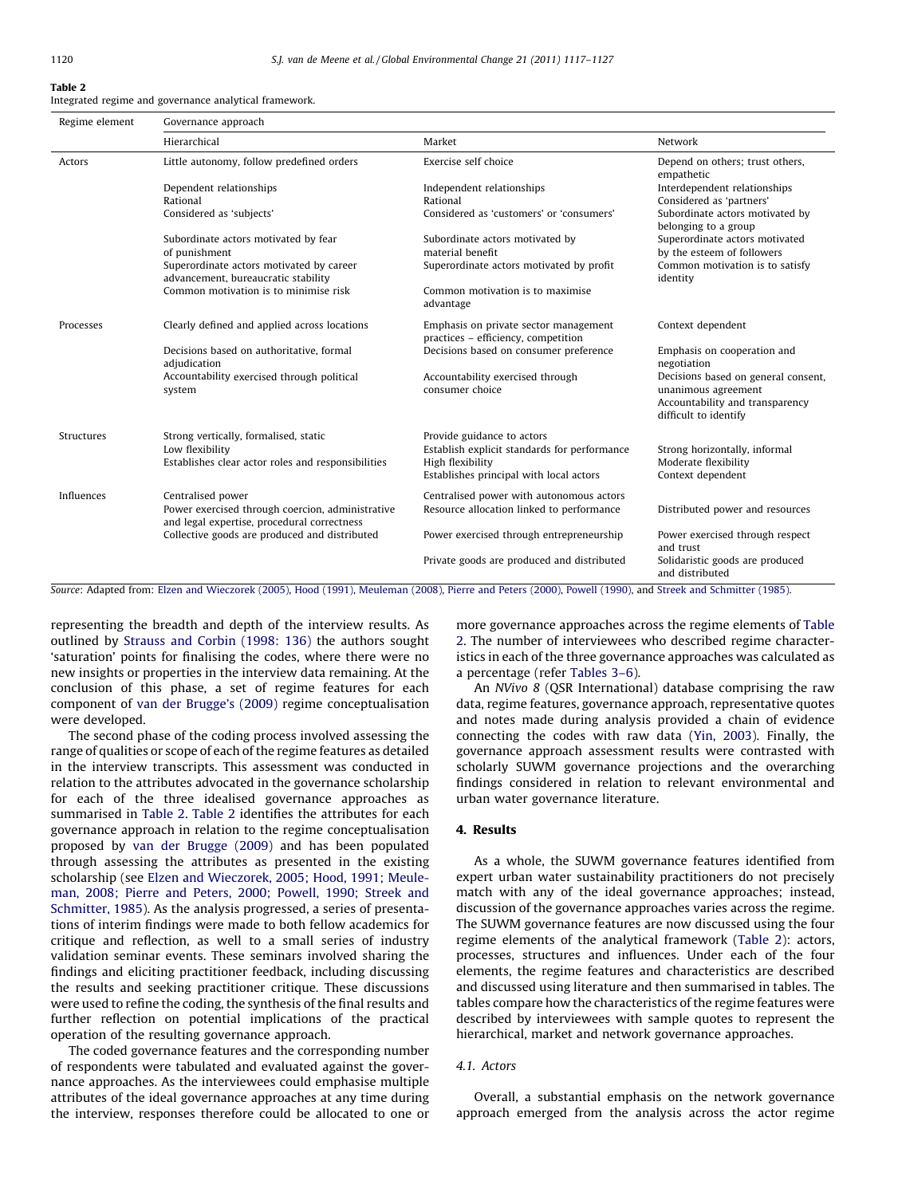## <span id="page-3-0"></span>Table 2

Integrated regime and governance analytical framework.

| Regime element | Governance approach                                                                                                  |                                                                                                                                           |                                                                                                                        |
|----------------|----------------------------------------------------------------------------------------------------------------------|-------------------------------------------------------------------------------------------------------------------------------------------|------------------------------------------------------------------------------------------------------------------------|
|                | Hierarchical                                                                                                         | Market                                                                                                                                    | Network                                                                                                                |
| Actors         | Little autonomy, follow predefined orders                                                                            | Exercise self choice                                                                                                                      | Depend on others; trust others,<br>empathetic                                                                          |
|                | Dependent relationships                                                                                              | Independent relationships                                                                                                                 | Interdependent relationships                                                                                           |
|                | Rational                                                                                                             | Rational                                                                                                                                  | Considered as 'partners'                                                                                               |
|                | Considered as 'subjects'                                                                                             | Considered as 'customers' or 'consumers'                                                                                                  | Subordinate actors motivated by<br>belonging to a group                                                                |
|                | Subordinate actors motivated by fear                                                                                 | Subordinate actors motivated by                                                                                                           | Superordinate actors motivated                                                                                         |
|                | of punishment                                                                                                        | material benefit                                                                                                                          | by the esteem of followers                                                                                             |
|                | Superordinate actors motivated by career<br>advancement, bureaucratic stability                                      | Superordinate actors motivated by profit                                                                                                  | Common motivation is to satisfy<br>identity                                                                            |
|                | Common motivation is to minimise risk                                                                                | Common motivation is to maximise<br>advantage                                                                                             |                                                                                                                        |
| Processes      | Clearly defined and applied across locations                                                                         | Emphasis on private sector management<br>practices - efficiency, competition                                                              | Context dependent                                                                                                      |
|                | Decisions based on authoritative, formal<br>adjudication                                                             | Decisions based on consumer preference                                                                                                    | Emphasis on cooperation and<br>negotiation                                                                             |
|                | Accountability exercised through political<br>system                                                                 | Accountability exercised through<br>consumer choice                                                                                       | Decisions based on general consent,<br>unanimous agreement<br>Accountability and transparency<br>difficult to identify |
| Structures     | Strong vertically, formalised, static<br>Low flexibility<br>Establishes clear actor roles and responsibilities       | Provide guidance to actors<br>Establish explicit standards for performance<br>High flexibility<br>Establishes principal with local actors | Strong horizontally, informal<br>Moderate flexibility<br>Context dependent                                             |
| Influences     | Centralised power<br>Power exercised through coercion, administrative<br>and legal expertise, procedural correctness | Centralised power with autonomous actors<br>Resource allocation linked to performance                                                     | Distributed power and resources                                                                                        |
|                | Collective goods are produced and distributed                                                                        | Power exercised through entrepreneurship                                                                                                  | Power exercised through respect<br>and trust                                                                           |
|                |                                                                                                                      | Private goods are produced and distributed                                                                                                | Solidaristic goods are produced<br>and distributed                                                                     |

Source: Adapted from: Elzen and Wieczorek (2005), Hood (1991), Meuleman (2008), Pierre and Peters (2000), Powell (1990), and Streek and Schmitter (1985).

representing the breadth and depth of the interview results. As outlined by [Strauss](#page-10-0) and Corbin (1998: 136) the authors sought 'saturation' points for finalising the codes, where there were no new insights or properties in the interview data remaining. At the conclusion of this phase, a set of regime features for each component of van der [Brugge's](#page-10-0) (2009) regime conceptualisation were developed.

The second phase of the coding process involved assessing the range of qualities or scope of each of the regime features as detailed in the interview transcripts. This assessment was conducted in relation to the attributes advocated in the governance scholarship for each of the three idealised governance approaches as summarised in Table 2. Table 2 identifies the attributes for each governance approach in relation to the regime conceptualisation proposed by van der [Brugge](#page-10-0) (2009) and has been populated through assessing the attributes as presented in the existing scholarship (see Elzen and [Wieczorek,](#page-9-0) 2005; Hood, 1991; Meuleman, 2008; Pierre and Peters, 2000; [Powell,](#page-9-0) 1990; Streek and [Schmitter,](#page-9-0) 1985). As the analysis progressed, a series of presentations of interim findings were made to both fellow academics for critique and reflection, as well to a small series of industry validation seminar events. These seminars involved sharing the findings and eliciting practitioner feedback, including discussing the results and seeking practitioner critique. These discussions were used to refine the coding, the synthesis of the final results and further reflection on potential implications of the practical operation of the resulting governance approach.

The coded governance features and the corresponding number of respondents were tabulated and evaluated against the governance approaches. As the interviewees could emphasise multiple attributes of the ideal governance approaches at any time during the interview, responses therefore could be allocated to one or more governance approaches across the regime elements of Table 2. The number of interviewees who described regime characteristics in each of the three governance approaches was calculated as a percentage (refer [Tables](#page-4-0) 3–6).

An NVivo 8 (QSR International) database comprising the raw data, regime features, governance approach, representative quotes and notes made during analysis provided a chain of evidence connecting the codes with raw data (Yin, [2003\)](#page-10-0). Finally, the governance approach assessment results were contrasted with scholarly SUWM governance projections and the overarching findings considered in relation to relevant environmental and urban water governance literature.

## 4. Results

As a whole, the SUWM governance features identified from expert urban water sustainability practitioners do not precisely match with any of the ideal governance approaches; instead, discussion of the governance approaches varies across the regime. The SUWM governance features are now discussed using the four regime elements of the analytical framework (Table 2): actors, processes, structures and influences. Under each of the four elements, the regime features and characteristics are described and discussed using literature and then summarised in tables. The tables compare how the characteristics of the regime features were described by interviewees with sample quotes to represent the hierarchical, market and network governance approaches.

## 4.1. Actors

Overall, a substantial emphasis on the network governance approach emerged from the analysis across the actor regime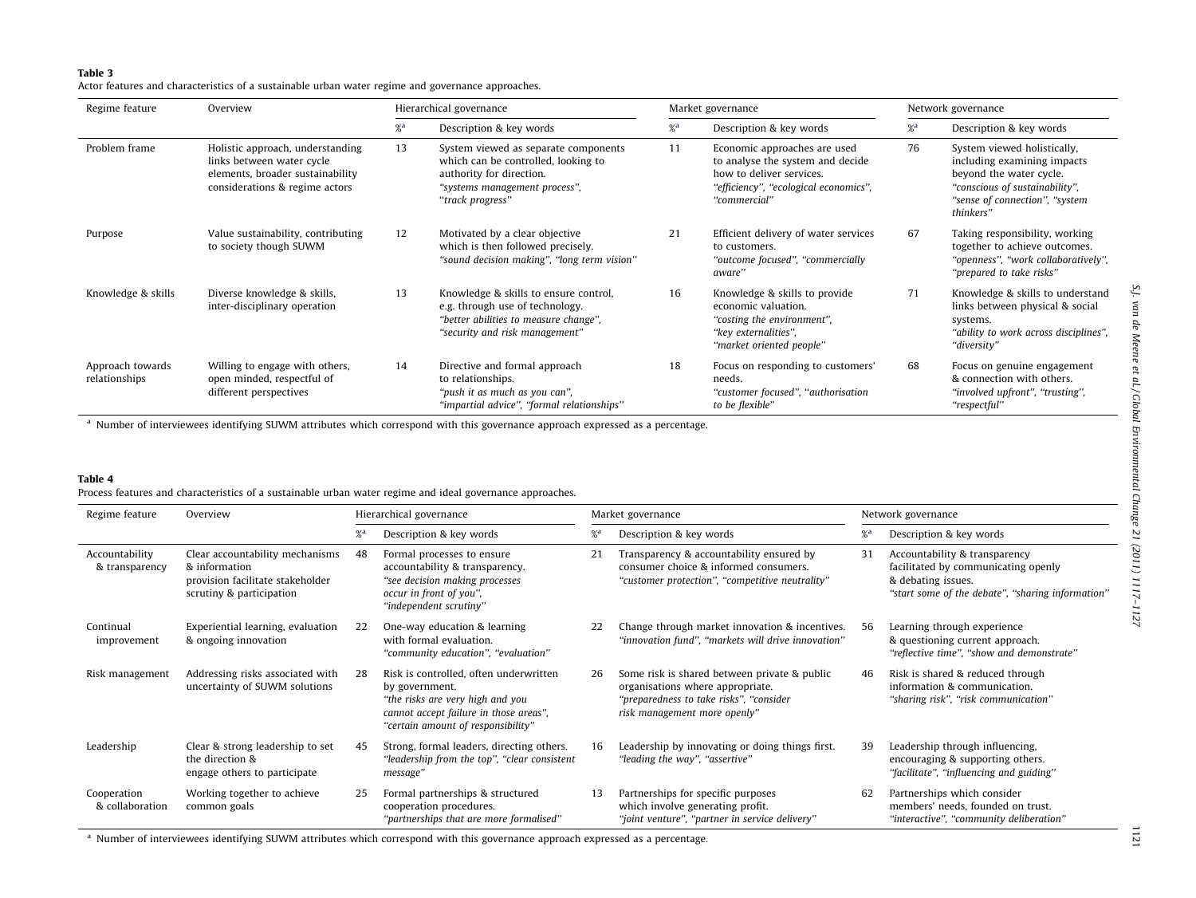#### <span id="page-4-0"></span>Table 3

Actor features and characteristics of <sup>a</sup> sustainable urban water regime and governance approaches.

| Regime feature                    | Overview                                                                                                                            |    | Hierarchical governance                                                                                                                                      |                   | Market governance                                                                                                                                     |                   | Network governance                                                                                                                                                     |
|-----------------------------------|-------------------------------------------------------------------------------------------------------------------------------------|----|--------------------------------------------------------------------------------------------------------------------------------------------------------------|-------------------|-------------------------------------------------------------------------------------------------------------------------------------------------------|-------------------|------------------------------------------------------------------------------------------------------------------------------------------------------------------------|
|                                   |                                                                                                                                     | %ª | Description & key words                                                                                                                                      | $\%$ <sup>a</sup> | Description & key words                                                                                                                               | $\%^{\mathrm{a}}$ | Description & key words                                                                                                                                                |
| Problem frame                     | Holistic approach, understanding<br>links between water cycle<br>elements, broader sustainability<br>considerations & regime actors | 13 | System viewed as separate components<br>which can be controlled, looking to<br>authority for direction.<br>"systems management process",<br>"track progress" | 11                | Economic approaches are used<br>to analyse the system and decide<br>how to deliver services.<br>"efficiency", "ecological economics",<br>"commercial" | 76                | System viewed holistically,<br>including examining impacts<br>beyond the water cycle.<br>"conscious of sustainability",<br>"sense of connection", "system<br>thinkers" |
| Purpose                           | Value sustainability, contributing<br>to society though SUWM                                                                        | 12 | Motivated by a clear objective<br>which is then followed precisely.<br>"sound decision making", "long term vision"                                           | 21                | Efficient delivery of water services<br>to customers.<br>"outcome focused", "commercially<br>aware"                                                   | 67                | Taking responsibility, working<br>together to achieve outcomes.<br>"openness", "work collaboratively",<br>"prepared to take risks"                                     |
| Knowledge & skills                | Diverse knowledge & skills,<br>inter-disciplinary operation                                                                         | 13 | Knowledge & skills to ensure control,<br>e.g. through use of technology.<br>"better abilities to measure change",<br>"security and risk management"          | 16                | Knowledge & skills to provide<br>economic valuation.<br>"costing the environment",<br>"key externalities",<br>"market oriented people"                | 71                | Knowledge & skills to understand<br>links between physical & social<br>systems.<br>"ability to work across disciplines",<br>"diversity"                                |
| Approach towards<br>relationships | Willing to engage with others,<br>open minded, respectful of<br>different perspectives                                              | 14 | Directive and formal approach<br>to relationships.<br>"push it as much as you can",<br>"impartial advice", "formal relationships"                            | 18                | Focus on responding to customers'<br>needs.<br>"customer focused", "authorisation<br>to be flexible"                                                  | 68                | Focus on genuine engagement<br>& connection with others.<br>"involved upfront", "trusting",<br>"respectful"                                                            |

<sup>a</sup> Number of interviewees identifying SUWM attributes which correspond with this governance approach expressed as a percentage.

#### Table 4

Process features and characteristics of <sup>a</sup> sustainable urban water regime and ideal governance approaches.

| Regime feature                   | Overview                                                                                                         |        | Hierarchical governance                                                                                                                                                      |    | Market governance                                                                                                                                           |    | Network governance                                                                                                                              |
|----------------------------------|------------------------------------------------------------------------------------------------------------------|--------|------------------------------------------------------------------------------------------------------------------------------------------------------------------------------|----|-------------------------------------------------------------------------------------------------------------------------------------------------------------|----|-------------------------------------------------------------------------------------------------------------------------------------------------|
|                                  |                                                                                                                  | $\%^a$ | Description & key words                                                                                                                                                      | %  | Description & key words                                                                                                                                     | %  | Description & key words                                                                                                                         |
| Accountability<br>& transparency | Clear accountability mechanisms<br>& information<br>provision facilitate stakeholder<br>scrutiny & participation | 48     | Formal processes to ensure<br>accountability & transparency.<br>"see decision making processes<br>occur in front of you",<br>"independent scrutiny"                          | 21 | Transparency & accountability ensured by<br>consumer choice & informed consumers.<br>"customer protection", "competitive neutrality"                        | 31 | Accountability & transparency<br>facilitated by communicating openly<br>& debating issues.<br>"start some of the debate", "sharing information" |
| Continual<br>improvement         | Experiential learning, evaluation<br>& ongoing innovation                                                        | 22     | One-way education & learning<br>with formal evaluation.<br>"community education", "evaluation"                                                                               | 22 | Change through market innovation & incentives.<br>"innovation fund", "markets will drive innovation"                                                        | 56 | Learning through experience<br>& questioning current approach.<br>"reflective time", "show and demonstrate"                                     |
| Risk management                  | Addressing risks associated with<br>uncertainty of SUWM solutions                                                | 28     | Risk is controlled, often underwritten<br>by government.<br>"the risks are very high and you<br>cannot accept failure in those areas",<br>"certain amount of responsibility" | 26 | Some risk is shared between private & public<br>organisations where appropriate.<br>"preparedness to take risks", "consider<br>risk management more openly" | 46 | Risk is shared & reduced through<br>information & communication.<br>"sharing risk", "risk communication"                                        |
| Leadership                       | Clear & strong leadership to set<br>the direction &<br>engage others to participate                              | 45     | Strong, formal leaders, directing others.<br>"leadership from the top", "clear consistent<br>message"                                                                        | 16 | Leadership by innovating or doing things first.<br>"leading the way", "assertive"                                                                           | 39 | Leadership through influencing,<br>encouraging & supporting others.<br>"facilitate", "influencing and guiding"                                  |
| Cooperation<br>& collaboration   | Working together to achieve<br>common goals                                                                      | 25     | Formal partnerships & structured<br>cooperation procedures.<br>"partnerships that are more formalised"                                                                       | 13 | Partnerships for specific purposes<br>which involve generating profit.<br>"joint venture", "partner in service delivery"                                    | 62 | Partnerships which consider<br>members' needs, founded on trust.<br>"interactive", "community deliberation"                                     |

<sup>a</sup> Number of interviewees identifying SUWM attributes which correspond with this governance approach expressed as a percentage.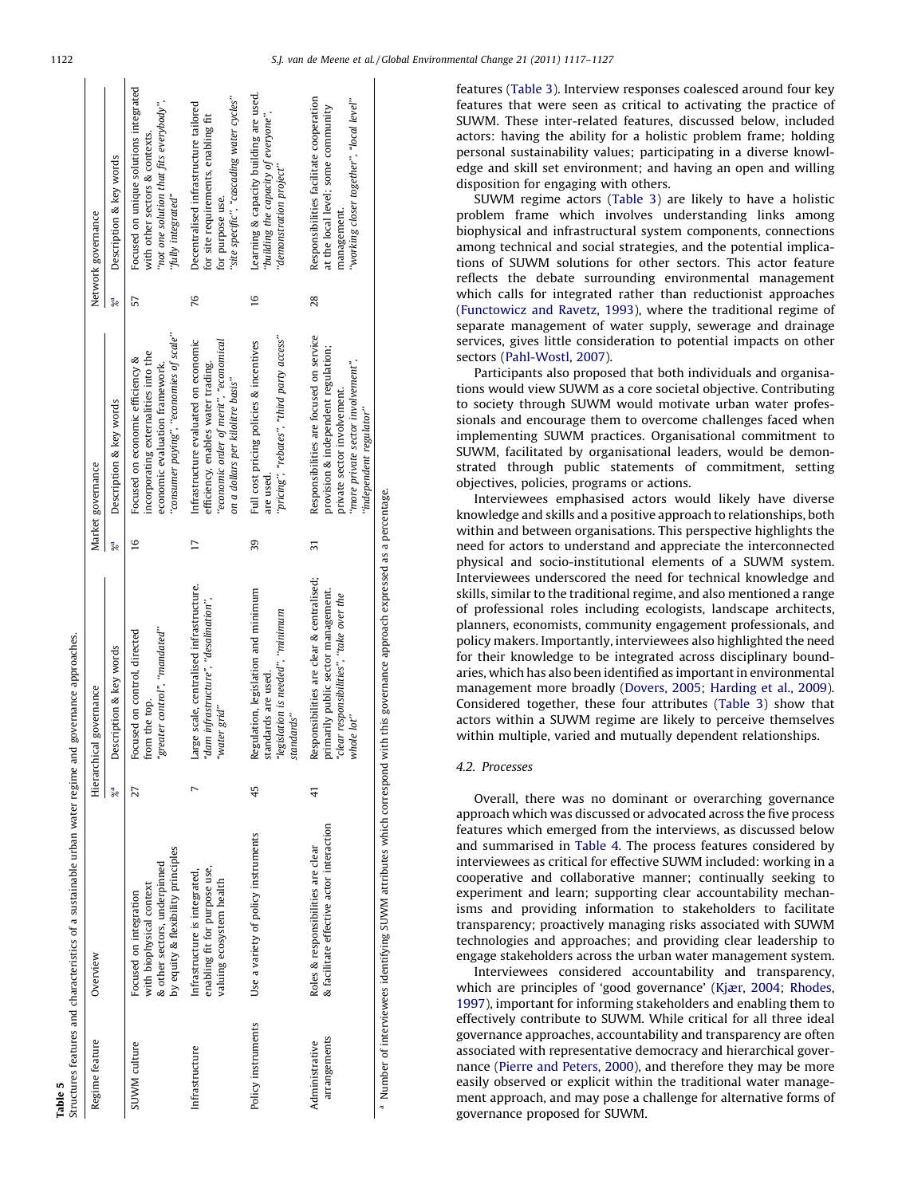<span id="page-5-0"></span>

|                                | Structures features and characteristics of a sustainable urban water regime and governance approaches.                   |    |                                                                                                                                          |    |                                                                                                                                                                                |    |                                                                                                                                               |
|--------------------------------|--------------------------------------------------------------------------------------------------------------------------|----|------------------------------------------------------------------------------------------------------------------------------------------|----|--------------------------------------------------------------------------------------------------------------------------------------------------------------------------------|----|-----------------------------------------------------------------------------------------------------------------------------------------------|
| Regime feature                 | Overview                                                                                                                 |    | Hierarchical governance                                                                                                                  |    | Market governance                                                                                                                                                              |    | Network governance                                                                                                                            |
|                                |                                                                                                                          | ga | Description & key words                                                                                                                  | %  | Description & key words                                                                                                                                                        | ga | Description & key words                                                                                                                       |
| SUWM culture                   | by equity & flexibility principles<br>& other sectors, underpinned<br>with biophysical context<br>Focused on integration | 27 | greater control", "mandated"<br>ocused on control, directed<br>rom the top.                                                              | 16 | "consumer paying", "economies of scale"<br>incorporating externalities into the<br>Focused on economic efficiency &<br>economic evaluation framework.                          | 57 | Focused on unique solutions integrated<br>'not one solution that fits everybody",<br>with other sectors & contexts.<br>"fully integrated"     |
| Infrastructure                 | enabling fit for purpose use,<br>Infrastructure is integrated,<br>valuing ecosystem health                               |    | arge scale, centralised infrastructure.<br>dam infrastructure", "desalination",<br>"water grid"                                          | 17 | Infrastructure evaluated on economic<br>"economic order of merit", "economical<br>efficiency, enables water trading.<br>on a dollars per kilolitre basis"                      | 76 | "site specific", "cascading water cycles"<br>Decentralised infrastructure tailored<br>for site requirements, enabling fit<br>for purpose use. |
| Policy instruments             | Use a variety of policy instruments                                                                                      | 45 | legulation, legislation and minimum<br>legislation is needed", "minimum<br>tandards are used.<br>standards"                              | 39 | "pricing", "rebates", "third party access"<br>Full cost pricing policies & incentives<br>are used                                                                              | 16 | Learning & capacity building are used.<br>"building the capacity of everyone",<br>"demonstration project"                                     |
| arrangements<br>Administrative | & facilitate effective actor interaction<br>Roles & responsibilities are clear                                           | ╤  | cesponsibilities are clear & centralised;<br>rimarily public sector management.<br>clear responsibilities", "take over the<br>whole lot" | 51 | Responsibilities are focused on service<br>provision & independent regulation;<br>"more private sector involvement",<br>private sector involvement.<br>"independent regulator" | 28 | Responsibilities facilitate cooperation<br>"working closer together", "local level"<br>at the local level; some community<br>management.      |
|                                |                                                                                                                          |    | a Number of interviewees identifying SUWM attributes which correspond with this governance approach expressed as a percentage.           |    |                                                                                                                                                                                |    |                                                                                                                                               |

features [\(Table](#page-4-0) 3). Interview responses coalesced around four key features that were seen as critical to activating the practice of SUWM. These inter-related features, discussed below, included actors: having the ability for a holistic problem frame; holding personal sustainability values; participating in a diverse knowledge and skill set environment; and having an open and willing disposition for engaging with others.

SUWM regime actors [\(Table](#page-4-0) 3) are likely to have a holistic problem frame which involves understanding links among biophysical and infrastructural system components, connections among technical and social strategies, and the potential implications of SUWM solutions for other sectors. This actor feature reflects the debate surrounding environmental management which calls for integrated rather than reductionist approaches ([Functowicz](#page-9-0) and Ravetz, 1993), where the traditional regime of separate management of water supply, sewerage and drainage services, gives little consideration to potential impacts on other sectors [\(Pahl-Wostl,](#page-9-0) 2007).

Participants also proposed that both individuals and organisations would view SUWM as a core societal objective. Contributing to society through SUWM would motivate urban water professionals and encourage them to overcome challenges faced when implementing SUWM practices. Organisational commitment to SUWM, facilitated by organisational leaders, would be demonstrated through public statements of commitment, setting objectives, policies, programs or actions.

Interviewees emphasised actors would likely have diverse knowledge and skills and a positive approach to relationships, both within and between organisations. This perspective highlights the need for actors to understand and appreciate the interconnected physical and socio-institutional elements of a SUWM system. Interviewees underscored the need for technical knowledge and skills, similar to the traditional regime, and also mentioned a range of professional roles including ecologists, landscape architects, planners, economists, community engagement professionals, and policy makers. Importantly, interviewees also highlighted the need for their knowledge to be integrated across disciplinary boundaries, which has also been identified as important in environmental management more broadly (Dovers, 2005; [Harding](#page-9-0) et al., 2009). Considered together, these four attributes ([Table](#page-4-0) 3) show that actors within a SUWM regime are likely to perceive themselves within multiple, varied and mutually dependent relationships.

#### 4.2. Processes

Overall, there was no dominant or overarching governance approach which was discussed or advocated across the five process features which emerged from the interviews, as discussed below and summarised in [Table](#page-4-0) 4. The process features considered by interviewees as critical for effective SUWM included: working in a cooperative and collaborative manner; continually seeking to experiment and learn; supporting clear accountability mechanisms and providing information to stakeholders to facilitate transparency; proactively managing risks associated with SUWM technologies and approaches; and providing clear leadership to engage stakeholders across the urban water management system.

Interviewees considered accountability and transparency, which are principles of 'good governance' (Kjær, 2004; [Rhodes,](#page-9-0) [1997](#page-9-0)), important for informing stakeholders and enabling them to effectively contribute to SUWM. While critical for all three ideal governance approaches, accountability and transparency are often associated with representative democracy and hierarchical governance (Pierre and [Peters,](#page-9-0) 2000), and therefore they may be more easily observed or explicit within the traditional water management approach, and may pose a challenge for alternative forms of governance proposed for SUWM.

Table 5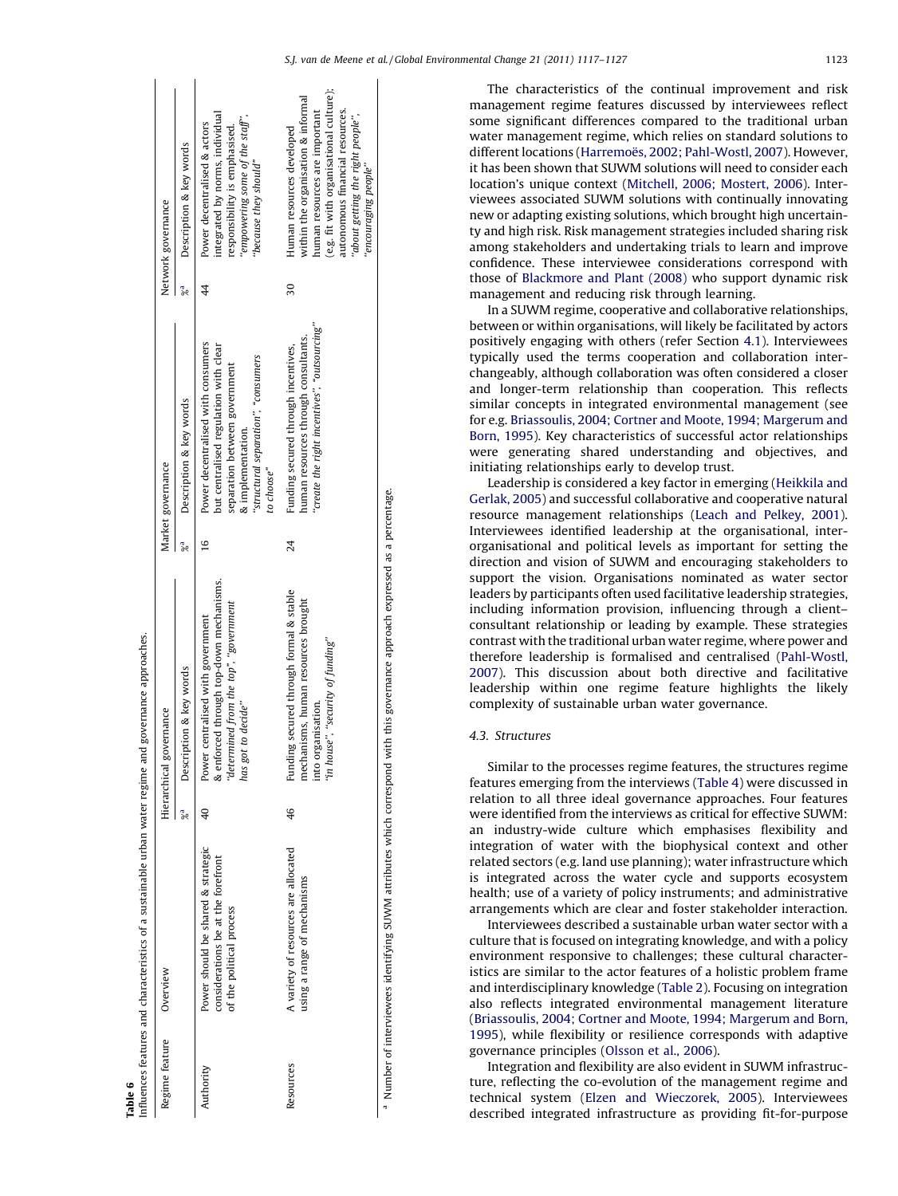Influences features and characteristics of a sustainable urban water regime and governance approaches. Influences features and characteristics of a sustainable urban water regime and governance approaches. Table 6

<span id="page-6-0"></span>

| Regime feature | Overview                                                                                             |    | Hierarchical governance                                                                                                                      |    | Market governance                                                                                                                                                                       |   | Network governance                                                                                                                                                                                                                         |  |
|----------------|------------------------------------------------------------------------------------------------------|----|----------------------------------------------------------------------------------------------------------------------------------------------|----|-----------------------------------------------------------------------------------------------------------------------------------------------------------------------------------------|---|--------------------------------------------------------------------------------------------------------------------------------------------------------------------------------------------------------------------------------------------|--|
|                |                                                                                                      |    | Description & key words                                                                                                                      |    | Description & key words                                                                                                                                                                 |   | Description & key words                                                                                                                                                                                                                    |  |
| Authority      | Power should be shared & strategic<br>considerations be at the forefront<br>of the political process |    | & enforced through top-down mechanisms.<br>"determined from the top", "government<br>Power centralised with government<br>has got to decide" |    | Power decentralised with consumers<br>but centralised regulation with clear<br>"structural separation", "consumers"<br>separation between government<br>& implementation.<br>to choose" |   | integrated by norms, individual<br>empowering some of the staff'.<br>Power decentralised & actors<br>responsibility is emphasised.<br>"because they should"                                                                                |  |
| Resources      | A variety of resources are allocated<br>using a range of mechanisms                                  | 46 | Funding secured through formal & stable<br>nechanisms, human resources brought<br>'in house", "security of funding"<br>into organisation.    | 24 | "create the right incentives", "outsourcing"<br>human resources through consultants.<br>Funding secured through incentives,                                                             | ສ | (e.g. fit with organisational culture);<br>within the organisation & informal<br>autonomous financial resources.<br>human resources are important<br>about getting the right people",<br>Human resources developed<br>"encouraging people" |  |

some significant differences compared to the traditional urban water management regime, which relies on standard solutions to different locations (Harremoës, 2002; [Pahl-Wostl,](#page-9-0) 2007). However, it has been shown that SUWM solutions will need to consider each location's unique context [\(Mitchell,](#page-9-0) 2006; Mostert, 2006). Interviewees associated SUWM solutions with continually innovating new or adapting existing solutions, which brought high uncertainty and high risk. Risk management strategies included sharing risk among stakeholders and undertaking trials to learn and improve confidence. These interviewee considerations correspond with those of [Blackmore](#page-9-0) and Plant (2008) who support dynamic risk management and reducing risk through learning. In a SUWM regime, cooperative and collaborative relationships, between or within organisations, will likely be facilitated by actors positively engaging with others (refer Section [4.1](#page-3-0)). Interviewees typically used the terms cooperation and collaboration interchangeably, although collaboration was often considered a closer and longer-term relationship than cooperation. This reflects similar concepts in integrated environmental management (see for e.g. [Briassoulis,](#page-9-0) 2004; Cortner and Moote, 1994; Margerum and [Born,](#page-9-0) 1995). Key characteristics of successful actor relationships were generating shared understanding and objectives, and initiating relationships early to develop trust.

The characteristics of the continual improvement and risk management regime features discussed by interviewees reflect

Leadership is considered a key factor in emerging ([Heikkila](#page-9-0) and [Gerlak,](#page-9-0) 2005) and successful collaborative and cooperative natural resource management relationships (Leach and [Pelkey,](#page-9-0) 2001). Interviewees identified leadership at the organisational, interorganisational and political levels as important for setting the direction and vision of SUWM and encouraging stakeholders to support the vision. Organisations nominated as water sector leaders by participants often used facilitative leadership strategies, including information provision, influencing through a client– consultant relationship or leading by example. These strategies contrast with the traditional urban water regime, where power and therefore leadership is formalised and centralised [\(Pahl-Wostl,](#page-9-0) [2007\)](#page-9-0). This discussion about both directive and facilitative leadership within one regime feature highlights the likely complexity of sustainable urban water governance.

## 4.3. Structures

a Number of interviewees identifying SUWM attributes which correspond with this governance approach expressed as a percentage Number of interviewees identifying SUWM attributes which correspond with this governance approach expressed as a percentage.

Similar to the processes regime features, the structures regime features emerging from the interviews ([Table](#page-4-0) 4) were discussed in relation to all three ideal governance approaches. Four features were identified from the interviews as critical for effective SUWM: an industry-wide culture which emphasises flexibility and integration of water with the biophysical context and other related sectors (e.g. land use planning); water infrastructure which is integrated across the water cycle and supports ecosystem health; use of a variety of policy instruments; and administrative arrangements which are clear and foster stakeholder interaction.

Interviewees described a sustainable urban water sector with a culture that is focused on integrating knowledge, and with a policy environment responsive to challenges; these cultural characteristics are similar to the actor features of a holistic problem frame and interdisciplinary knowledge [\(Table](#page-3-0) 2). Focusing on integration also reflects integrated environmental management literature ([Briassoulis,](#page-9-0) 2004; Cortner and Moote, 1994; Margerum and Born, [1995\)](#page-9-0), while flexibility or resilience corresponds with adaptive governance principles ([Olsson](#page-9-0) et al., 2006).

Integration and flexibility are also evident in SUWM infrastructure, reflecting the co-evolution of the management regime and technical system (Elzen and [Wieczorek,](#page-9-0) 2005). Interviewees described integrated infrastructure as providing fit-for-purpose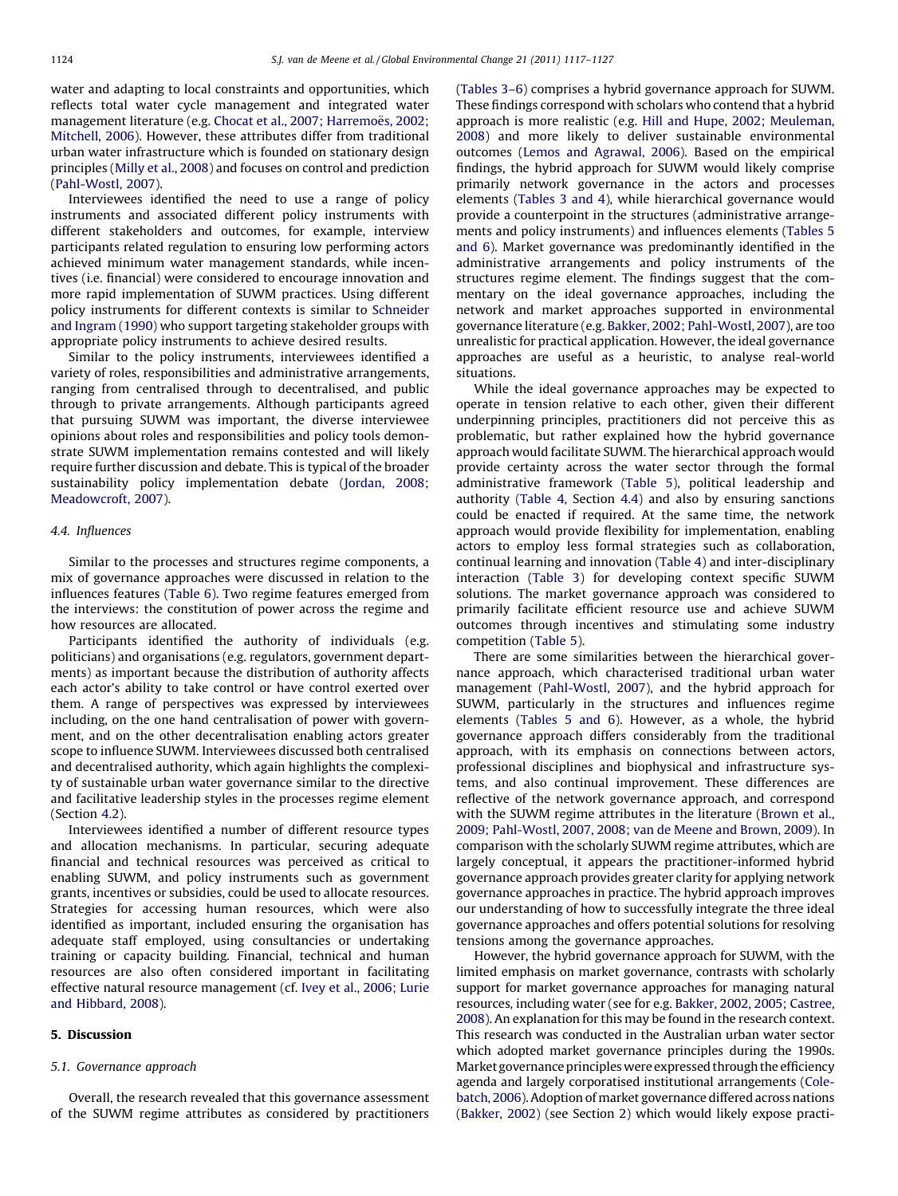<span id="page-7-0"></span>water and adapting to local constraints and opportunities, which reflects total water cycle management and integrated water management literature (e.g. Chocat et al., 2007; Harremoës, 2002; [Mitchell,](#page-9-0) 2006). However, these attributes differ from traditional urban water infrastructure which is founded on stationary design principles [\(Milly](#page-9-0) et al., 2008) and focuses on control and prediction ([Pahl-Wostl,](#page-9-0) 2007).

Interviewees identified the need to use a range of policy instruments and associated different policy instruments with different stakeholders and outcomes, for example, interview participants related regulation to ensuring low performing actors achieved minimum water management standards, while incentives (i.e. financial) were considered to encourage innovation and more rapid implementation of SUWM practices. Using different policy instruments for different contexts is similar to [Schneider](#page-9-0) and [Ingram](#page-9-0) (1990) who support targeting stakeholder groups with appropriate policy instruments to achieve desired results.

Similar to the policy instruments, interviewees identified a variety of roles, responsibilities and administrative arrangements, ranging from centralised through to decentralised, and public through to private arrangements. Although participants agreed that pursuing SUWM was important, the diverse interviewee opinions about roles and responsibilities and policy tools demonstrate SUWM implementation remains contested and will likely require further discussion and debate. This is typical of the broader sustainability policy implementation debate ([Jordan,](#page-9-0) 2008; [Meadowcroft,](#page-9-0) 2007).

## 4.4. Influences

Similar to the processes and structures regime components, a mix of governance approaches were discussed in relation to the influences features [\(Table](#page-6-0) 6). Two regime features emerged from the interviews: the constitution of power across the regime and how resources are allocated.

Participants identified the authority of individuals (e.g. politicians) and organisations (e.g. regulators, government departments) as important because the distribution of authority affects each actor's ability to take control or have control exerted over them. A range of perspectives was expressed by interviewees including, on the one hand centralisation of power with government, and on the other decentralisation enabling actors greater scope to influence SUWM. Interviewees discussed both centralised and decentralised authority, which again highlights the complexity of sustainable urban water governance similar to the directive and facilitative leadership styles in the processes regime element (Section [4.2](#page-5-0)).

Interviewees identified a number of different resource types and allocation mechanisms. In particular, securing adequate financial and technical resources was perceived as critical to enabling SUWM, and policy instruments such as government grants, incentives or subsidies, could be used to allocate resources. Strategies for accessing human resources, which were also identified as important, included ensuring the organisation has adequate staff employed, using consultancies or undertaking training or capacity building. Financial, technical and human resources are also often considered important in facilitating effective natural resource management (cf. Ivey et al., [2006;](#page-9-0) Lurie and [Hibbard,](#page-9-0) 2008).

## 5. Discussion

#### 5.1. Governance approach

Overall, the research revealed that this governance assessment of the SUWM regime attributes as considered by practitioners ([Tables](#page-4-0) 3–6) comprises a hybrid governance approach for SUWM. These findings correspond with scholars who contend that a hybrid approach is more realistic (e.g. Hill and Hupe, 2002; [Meuleman,](#page-9-0) [2008\)](#page-9-0) and more likely to deliver sustainable environmental outcomes (Lemos and [Agrawal,](#page-9-0) 2006). Based on the empirical findings, the hybrid approach for SUWM would likely comprise primarily network governance in the actors and processes elements ([Tables](#page-4-0) 3 and 4), while hierarchical governance would provide a counterpoint in the structures (administrative arrangements and policy instruments) and influences elements [\(Tables](#page-5-0) 5 [and](#page-5-0) 6). Market governance was predominantly identified in the administrative arrangements and policy instruments of the structures regime element. The findings suggest that the commentary on the ideal governance approaches, including the network and market approaches supported in environmental governance literature (e.g. Bakker, 2002; [Pahl-Wostl,](#page-9-0) 2007), are too unrealistic for practical application. However, the ideal governance approaches are useful as a heuristic, to analyse real-world situations.

While the ideal governance approaches may be expected to operate in tension relative to each other, given their different underpinning principles, practitioners did not perceive this as problematic, but rather explained how the hybrid governance approach would facilitate SUWM. The hierarchical approach would provide certainty across the water sector through the formal administrative framework [\(Table](#page-5-0) 5), political leadership and authority [\(Table](#page-4-0) 4, Section 4.4) and also by ensuring sanctions could be enacted if required. At the same time, the network approach would provide flexibility for implementation, enabling actors to employ less formal strategies such as collaboration, continual learning and innovation ([Table](#page-4-0) 4) and inter-disciplinary interaction [\(Table](#page-4-0) 3) for developing context specific SUWM solutions. The market governance approach was considered to primarily facilitate efficient resource use and achieve SUWM outcomes through incentives and stimulating some industry competition ([Table](#page-5-0) 5).

There are some similarities between the hierarchical governance approach, which characterised traditional urban water management [\(Pahl-Wostl,](#page-9-0) 2007), and the hybrid approach for SUWM, particularly in the structures and influences regime elements ([Tables](#page-5-0) 5 and 6). However, as a whole, the hybrid governance approach differs considerably from the traditional approach, with its emphasis on connections between actors, professional disciplines and biophysical and infrastructure systems, and also continual improvement. These differences are reflective of the network governance approach, and correspond with the SUWM regime attributes in the literature ([Brown](#page-9-0) et al., 2009; [Pahl-Wostl,](#page-9-0) 2007, 2008; van de Meene and Brown, 2009). In comparison with the scholarly SUWM regime attributes, which are largely conceptual, it appears the practitioner-informed hybrid governance approach provides greater clarity for applying network governance approaches in practice. The hybrid approach improves our understanding of how to successfully integrate the three ideal governance approaches and offers potential solutions for resolving tensions among the governance approaches.

However, the hybrid governance approach for SUWM, with the limited emphasis on market governance, contrasts with scholarly support for market governance approaches for managing natural resources, including water (see for e.g. Bakker, 2002, 2005; [Castree,](#page-9-0) [2008\)](#page-9-0). An explanation for this may be found in the research context. This research was conducted in the Australian urban water sector which adopted market governance principles during the 1990s. Market governance principles were expressed through the efficiency agenda and largely corporatised institutional arrangements [\(Cole](#page-9-0)[batch,](#page-9-0) 2006). Adoption of market governance differed across nations ([Bakker,](#page-9-0) 2002) (see Section [2\)](#page-1-0) which would likely expose practi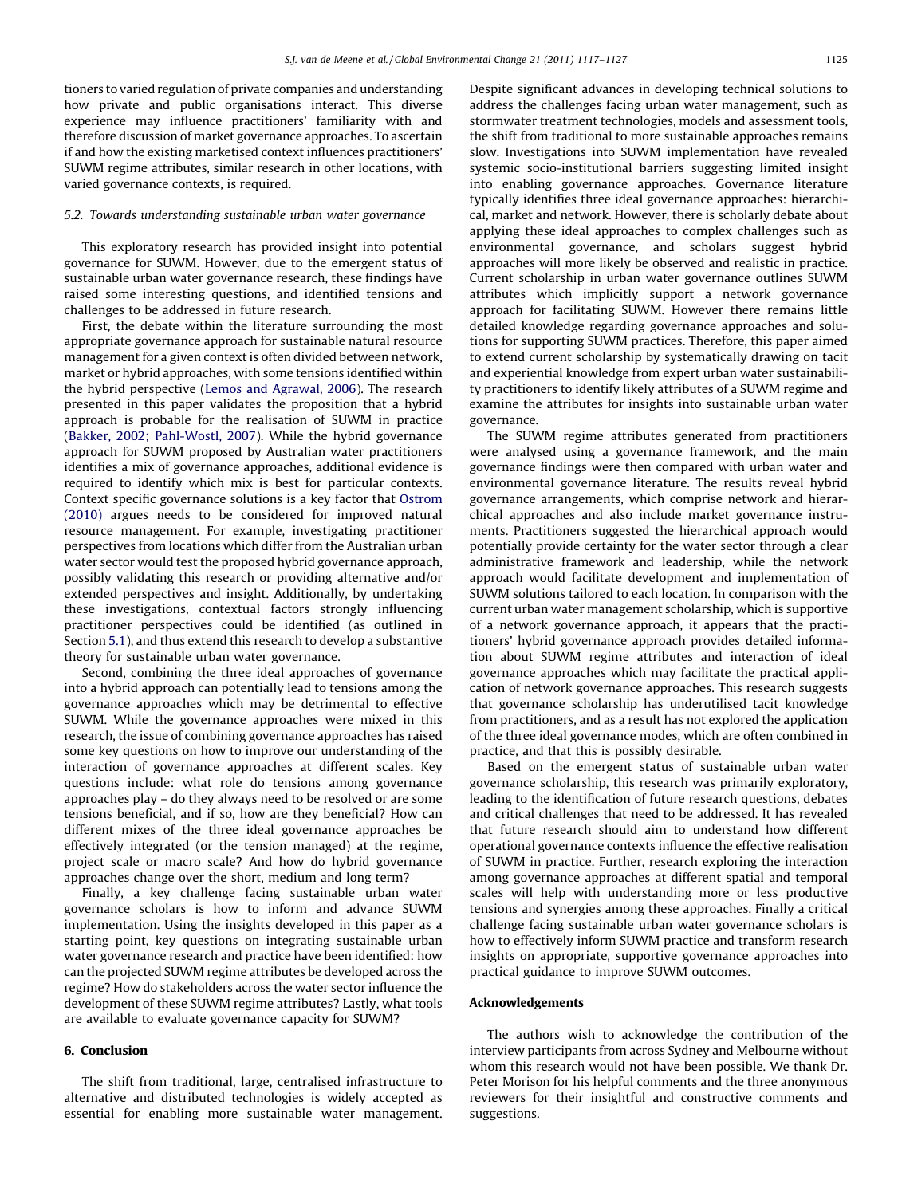tioners to varied regulation of private companies and understanding how private and public organisations interact. This diverse experience may influence practitioners' familiarity with and therefore discussion of market governance approaches. To ascertain if and how the existing marketised context influences practitioners' SUWM regime attributes, similar research in other locations, with varied governance contexts, is required.

#### 5.2. Towards understanding sustainable urban water governance

This exploratory research has provided insight into potential governance for SUWM. However, due to the emergent status of sustainable urban water governance research, these findings have raised some interesting questions, and identified tensions and challenges to be addressed in future research.

First, the debate within the literature surrounding the most appropriate governance approach for sustainable natural resource management for a given context is often divided between network, market or hybrid approaches, with some tensions identified within the hybrid perspective (Lemos and [Agrawal,](#page-9-0) 2006). The research presented in this paper validates the proposition that a hybrid approach is probable for the realisation of SUWM in practice (Bakker, 2002; [Pahl-Wostl,](#page-9-0) 2007). While the hybrid governance approach for SUWM proposed by Australian water practitioners identifies a mix of governance approaches, additional evidence is required to identify which mix is best for particular contexts. Context specific governance solutions is a key factor that [Ostrom](#page-9-0) [\(2010\)](#page-9-0) argues needs to be considered for improved natural resource management. For example, investigating practitioner perspectives from locations which differ from the Australian urban water sector would test the proposed hybrid governance approach, possibly validating this research or providing alternative and/or extended perspectives and insight. Additionally, by undertaking these investigations, contextual factors strongly influencing practitioner perspectives could be identified (as outlined in Section [5.1\)](#page-7-0), and thus extend this research to develop a substantive theory for sustainable urban water governance.

Second, combining the three ideal approaches of governance into a hybrid approach can potentially lead to tensions among the governance approaches which may be detrimental to effective SUWM. While the governance approaches were mixed in this research, the issue of combining governance approaches has raised some key questions on how to improve our understanding of the interaction of governance approaches at different scales. Key questions include: what role do tensions among governance approaches play – do they always need to be resolved or are some tensions beneficial, and if so, how are they beneficial? How can different mixes of the three ideal governance approaches be effectively integrated (or the tension managed) at the regime, project scale or macro scale? And how do hybrid governance approaches change over the short, medium and long term?

Finally, a key challenge facing sustainable urban water governance scholars is how to inform and advance SUWM implementation. Using the insights developed in this paper as a starting point, key questions on integrating sustainable urban water governance research and practice have been identified: how can the projected SUWM regime attributes be developed across the regime? How do stakeholders across the water sector influence the development of these SUWM regime attributes? Lastly, what tools are available to evaluate governance capacity for SUWM?

## 6. Conclusion

The shift from traditional, large, centralised infrastructure to alternative and distributed technologies is widely accepted as essential for enabling more sustainable water management. Despite significant advances in developing technical solutions to address the challenges facing urban water management, such as stormwater treatment technologies, models and assessment tools, the shift from traditional to more sustainable approaches remains slow. Investigations into SUWM implementation have revealed systemic socio-institutional barriers suggesting limited insight into enabling governance approaches. Governance literature typically identifies three ideal governance approaches: hierarchical, market and network. However, there is scholarly debate about applying these ideal approaches to complex challenges such as environmental governance, and scholars suggest hybrid approaches will more likely be observed and realistic in practice. Current scholarship in urban water governance outlines SUWM attributes which implicitly support a network governance approach for facilitating SUWM. However there remains little detailed knowledge regarding governance approaches and solutions for supporting SUWM practices. Therefore, this paper aimed to extend current scholarship by systematically drawing on tacit and experiential knowledge from expert urban water sustainability practitioners to identify likely attributes of a SUWM regime and examine the attributes for insights into sustainable urban water governance.

The SUWM regime attributes generated from practitioners were analysed using a governance framework, and the main governance findings were then compared with urban water and environmental governance literature. The results reveal hybrid governance arrangements, which comprise network and hierarchical approaches and also include market governance instruments. Practitioners suggested the hierarchical approach would potentially provide certainty for the water sector through a clear administrative framework and leadership, while the network approach would facilitate development and implementation of SUWM solutions tailored to each location. In comparison with the current urban water management scholarship, which is supportive of a network governance approach, it appears that the practitioners' hybrid governance approach provides detailed information about SUWM regime attributes and interaction of ideal governance approaches which may facilitate the practical application of network governance approaches. This research suggests that governance scholarship has underutilised tacit knowledge from practitioners, and as a result has not explored the application of the three ideal governance modes, which are often combined in practice, and that this is possibly desirable.

Based on the emergent status of sustainable urban water governance scholarship, this research was primarily exploratory, leading to the identification of future research questions, debates and critical challenges that need to be addressed. It has revealed that future research should aim to understand how different operational governance contexts influence the effective realisation of SUWM in practice. Further, research exploring the interaction among governance approaches at different spatial and temporal scales will help with understanding more or less productive tensions and synergies among these approaches. Finally a critical challenge facing sustainable urban water governance scholars is how to effectively inform SUWM practice and transform research insights on appropriate, supportive governance approaches into practical guidance to improve SUWM outcomes.

#### Acknowledgements

The authors wish to acknowledge the contribution of the interview participants from across Sydney and Melbourne without whom this research would not have been possible. We thank Dr. Peter Morison for his helpful comments and the three anonymous reviewers for their insightful and constructive comments and suggestions.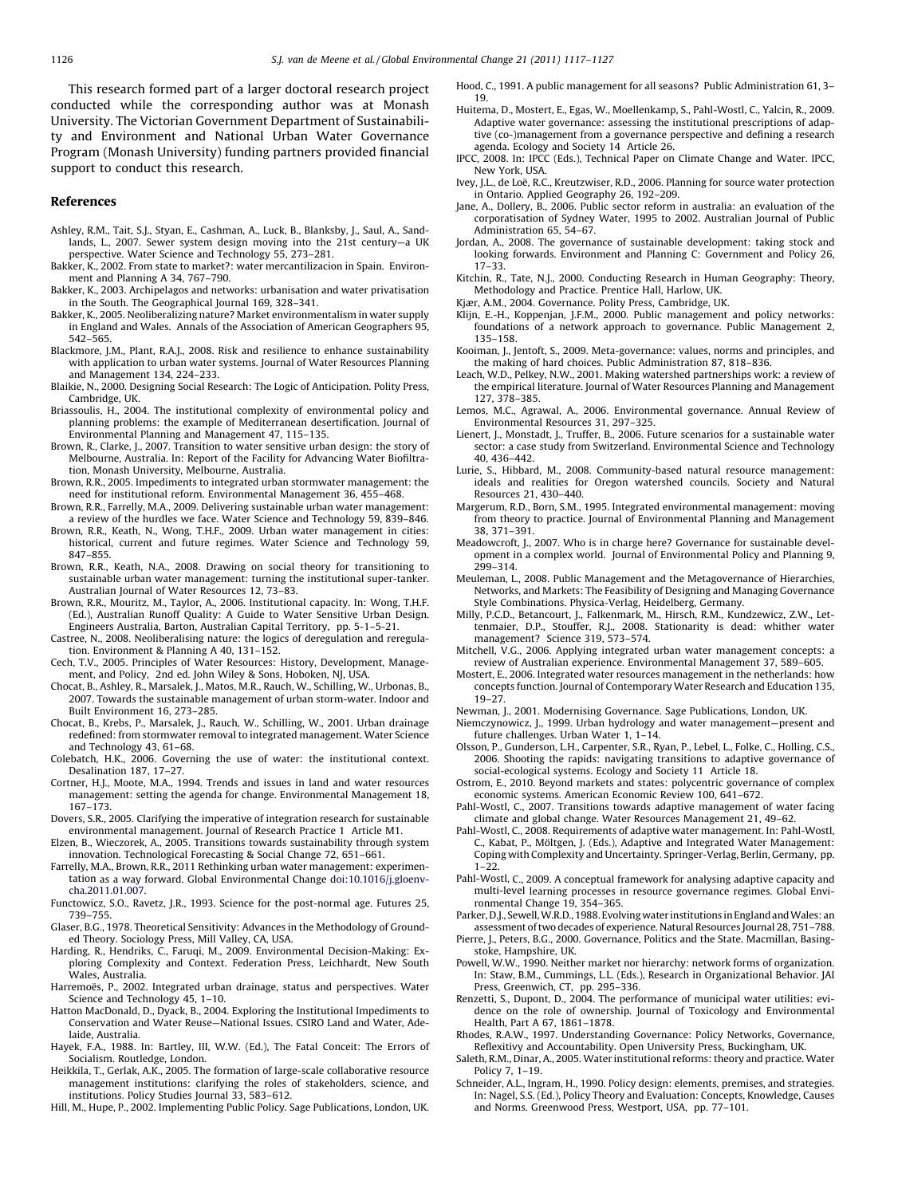<span id="page-9-0"></span>This research formed part of a larger doctoral research project conducted while the corresponding author was at Monash University. The Victorian Government Department of Sustainability and Environment and National Urban Water Governance Program (Monash University) funding partners provided financial support to conduct this research.

## References

- Ashley, R.M., Tait, S.J., Styan, E., Cashman, A., Luck, B., Blanksby, J., Saul, A., Sandlands, L., 2007. Sewer system design moving into the 21st century—a UK perspective. Water Science and Technology 55, 273–281.
- Bakker, K., 2002. From state to market?: water mercantilizacion in Spain. Environment and Planning A 34, 767–790.
- Bakker, K., 2003. Archipelagos and networks: urbanisation and water privatisation in the South. The Geographical Journal 169, 328–341.
- Bakker, K., 2005. Neoliberalizing nature? Market environmentalism in water supply in England and Wales. Annals of the Association of American Geographers 95, 542–565.
- Blackmore, J.M., Plant, R.A.J., 2008. Risk and resilience to enhance sustainability with application to urban water systems. Journal of Water Resources Planning and Management 134, 224–233.
- Blaikie, N., 2000. Designing Social Research: The Logic of Anticipation. Polity Press, Cambridge, UK.
- Briassoulis, H., 2004. The institutional complexity of environmental policy and planning problems: the example of Mediterranean desertification. Journal of Environmental Planning and Management 47, 115–135.
- Brown, R., Clarke, J., 2007. Transition to water sensitive urban design: the story of Melbourne, Australia. In: Report of the Facility for Advancing Water Biofiltration, Monash University, Melbourne, Australia.
- Brown, R.R., 2005. Impediments to integrated urban stormwater management: the need for institutional reform. Environmental Management 36, 455–468.
- Brown, R.R., Farrelly, M.A., 2009. Delivering sustainable urban water management: a review of the hurdles we face. Water Science and Technology 59, 839–846.
- Brown, R.R., Keath, N., Wong, T.H.F., 2009. Urban water management in cities: historical, current and future regimes. Water Science and Technology 59, 847–855.
- Brown, R.R., Keath, N.A., 2008. Drawing on social theory for transitioning to sustainable urban water management: turning the institutional super-tanker. Australian Journal of Water Resources 12, 73–83.
- Brown, R.R., Mouritz, M., Taylor, A., 2006. Institutional capacity. In: Wong, T.H.F. (Ed.), Australian Runoff Quality: A Guide to Water Sensitive Urban Design. Engineers Australia, Barton, Australian Capital Territory, pp. 5-1–5-21.
- Castree, N., 2008. Neoliberalising nature: the logics of deregulation and reregulation. Environment & Planning A 40, 131–152.
- Cech, T.V., 2005. Principles of Water Resources: History, Development, Management, and Policy, 2nd ed. John Wiley & Sons, Hoboken, NJ, USA.
- Chocat, B., Ashley, R., Marsalek, J., Matos, M.R., Rauch, W., Schilling, W., Urbonas, B., 2007. Towards the sustainable management of urban storm-water. Indoor and Built Environment 16, 273–285.
- Chocat, B., Krebs, P., Marsalek, J., Rauch, W., Schilling, W., 2001. Urban drainage redefined: from stormwater removal to integrated management. Water Science and Technology 43, 61–68.
- Colebatch, H.K., 2006. Governing the use of water: the institutional context. Desalination 187, 17–27.
- Cortner, H.J., Moote, M.A., 1994. Trends and issues in land and water resources management: setting the agenda for change. Environmental Management 18, 167–173.
- Dovers, S.R., 2005. Clarifying the imperative of integration research for sustainable environmental management. Journal of Research Practice 1 Article M1.
- Elzen, B., Wieczorek, A., 2005. Transitions towards sustainability through system innovation. Technological Forecasting & Social Change 72, 651–661.
- Farrelly, M.A., Brown, R.R., 2011 Rethinking urban water management: experimentation as a way forward. Global Environmental Change [doi:10.1016/j.gloenv](http://dx.doi.org/10.1016/j.gloenvcha.2011.01.007)[cha.2011.01.007.](http://dx.doi.org/10.1016/j.gloenvcha.2011.01.007)
- Functowicz, S.O., Ravetz, J.R., 1993. Science for the post-normal age. Futures 25, 739–755.
- Glaser, B.G., 1978. Theoretical Sensitivity: Advances in the Methodology of Grounded Theory. Sociology Press, Mill Valley, CA, USA.
- Harding, R., Hendriks, C., Faruqi, M., 2009. Environmental Decision-Making: Exploring Complexity and Context. Federation Press, Leichhardt, New South Wales, Australia.
- Harremoës, P., 2002. Integrated urban drainage, status and perspectives. Water Science and Technology 45, 1–10.
- Hatton MacDonald, D., Dyack, B., 2004. Exploring the Institutional Impediments to Conservation and Water Reuse—National Issues. CSIRO Land and Water, Adelaide, Australia.
- Hayek, F.A., 1988. In: Bartley, III, W.W. (Ed.), The Fatal Conceit: The Errors of Socialism. Routledge, London.
- Heikkila, T., Gerlak, A.K., 2005. The formation of large-scale collaborative resource management institutions: clarifying the roles of stakeholders, science, and institutions. Policy Studies Journal 33, 583–612.
- Hill, M., Hupe, P., 2002. Implementing Public Policy. Sage Publications, London, UK.

Hood, C., 1991. A public management for all seasons? Public Administration 61, 3– 19.

- Huitema, D., Mostert, E., Egas, W., Moellenkamp, S., Pahl-Wostl, C., Yalcin, R., 2009. Adaptive water governance: assessing the institutional prescriptions of adaptive (co-)management from a governance perspective and defining a research agenda. Ecology and Society 14 Article 26.
- IPCC, 2008. In: IPCC (Eds.), Technical Paper on Climate Change and Water. IPCC, New York, USA.
- Ivey, J.L., de Loë, R.C., Kreutzwiser, R.D., 2006. Planning for source water protection in Ontario. Applied Geography 26, 192–209.
- Jane, A., Dollery, B., 2006. Public sector reform in australia: an evaluation of the corporatisation of Sydney Water, 1995 to 2002. Australian Journal of Public Administration 65, 54–67.
- Jordan, A., 2008. The governance of sustainable development: taking stock and looking forwards. Environment and Planning C: Government and Policy 26, 17–33.
- Kitchin, R., Tate, N.J., 2000. Conducting Research in Human Geography: Theory, Methodology and Practice. Prentice Hall, Harlow, UK.
- Kjær, A.M., 2004. Governance. Polity Press, Cambridge, UK.
- Klijn, E.-H., Koppenjan, J.F.M., 2000. Public management and policy networks: foundations of a network approach to governance. Public Management 2, 135–158.
- Kooiman, J., Jentoft, S., 2009. Meta-governance: values, norms and principles, and the making of hard choices. Public Administration 87, 818–836.
- Leach, W.D., Pelkey, N.W., 2001. Making watershed partnerships work: a review of the empirical literature. Journal of Water Resources Planning and Management 127, 378–385.
- Lemos, M.C., Agrawal, A., 2006. Environmental governance. Annual Review of Environmental Resources 31, 297–325.
- Lienert, J., Monstadt, J., Truffer, B., 2006. Future scenarios for a sustainable water sector: a case study from Switzerland. Environmental Science and Technology 40, 436–442.
- Lurie, S., Hibbard, M., 2008. Community-based natural resource management: ideals and realities for Oregon watershed councils. Society and Natural Resources 21, 430–440.
- Margerum, R.D., Born, S.M., 1995. Integrated environmental management: moving from theory to practice. Journal of Environmental Planning and Management 38, 371–391.
- Meadowcroft, J., 2007. Who is in charge here? Governance for sustainable development in a complex world. Journal of Environmental Policy and Planning 9, 299–314.
- Meuleman, L., 2008. Public Management and the Metagovernance of Hierarchies, Networks, and Markets: The Feasibility of Designing and Managing Governance Style Combinations. Physica-Verlag, Heidelberg, Germany.
- Milly, P.C.D., Betancourt, J., Falkenmark, M., Hirsch, R.M., Kundzewicz, Z.W., Lettenmaier, D.P., Stouffer, R.J., 2008. Stationarity is dead: whither water management? Science 319, 573–574.
- Mitchell, V.G., 2006. Applying integrated urban water management concepts: a review of Australian experience. Environmental Management 37, 589–605.
- Mostert, E., 2006. Integrated water resources management in the netherlands: how concepts function. Journal of Contemporary Water Research and Education 135, 19–27.
- Newman, J., 2001. Modernising Governance. Sage Publications, London, UK.
- Niemczynowicz, J., 1999. Urban hydrology and water management—present and future challenges. Urban Water 1, 1–14.
- Olsson, P., Gunderson, L.H., Carpenter, S.R., Ryan, P., Lebel, L., Folke, C., Holling, C.S., 2006. Shooting the rapids: navigating transitions to adaptive governance of social-ecological systems. Ecology and Society 11 Article 18.
- Ostrom, E., 2010. Beyond markets and states: polycentric governance of complex economic systems. American Economic Review 100, 641–672.
- Pahl-Wostl, C., 2007. Transitions towards adaptive management of water facing climate and global change. Water Resources Management 21, 49–62.
- Pahl-Wostl, C., 2008. Requirements of adaptive water management. In: Pahl-Wostl, C., Kabat, P., Möltgen, J. (Eds.), Adaptive and Integrated Water Management: Coping with Complexity and Uncertainty. Springer-Verlag, Berlin, Germany, pp. 1–22.
- Pahl-Wostl, C., 2009. A conceptual framework for analysing adaptive capacity and multi-level learning processes in resource governance regimes. Global Environmental Change 19, 354–365.
- Parker, D.J., Sewell, W.R.D., 1988. Evolving water institutions in England and Wales: an assessment of two decades of experience. Natural Resources Journal 28, 751-788.
- Pierre, J., Peters, B.G., 2000. Governance, Politics and the State. Macmillan, Basingstoke, Hampshire, UK.
- Powell, W.W., 1990. Neither market nor hierarchy: network forms of organization. In: Staw, B.M., Cummings, L.L. (Eds.), Research in Organizational Behavior. JAI Press, Greenwich, CT, pp. 295–336.
- Renzetti, S., Dupont, D., 2004. The performance of municipal water utilities: evidence on the role of ownership. Journal of Toxicology and Environmental Health, Part A 67, 1861–1878.
- Rhodes, R.A.W., 1997. Understanding Governance: Policy Networks, Governance, Reflexitivy and Accountability. Open University Press, Buckingham, UK.
- Saleth, R.M., Dinar, A., 2005. Water institutional reforms: theory and practice. Water Policy 7, 1–19.
- Schneider, A.L., Ingram, H., 1990. Policy design: elements, premises, and strategies. In: Nagel, S.S. (Ed.), Policy Theory and Evaluation: Concepts, Knowledge, Causes and Norms. Greenwood Press, Westport, USA, pp. 77–101.